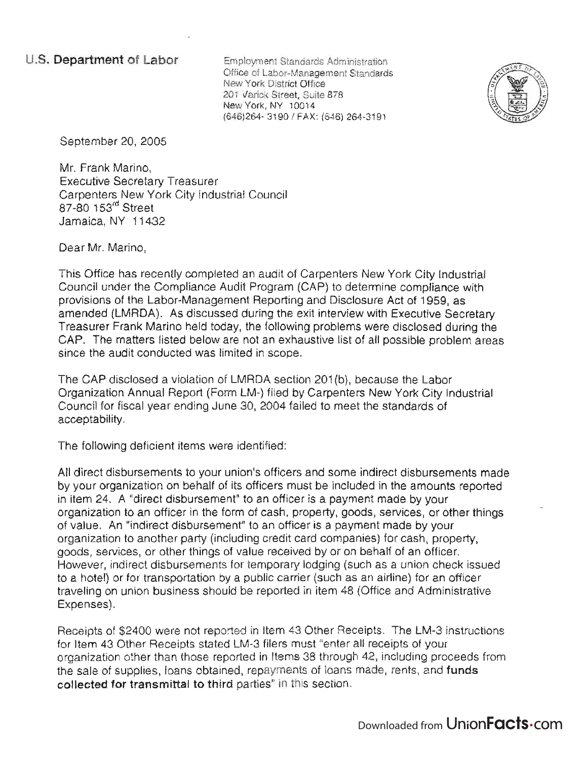Employment Standards Administration Office of Labor-Management Standards New York District Office 201 Varick Street, Suite 878 New York, NY 10014 (646)264- 31 90 I FAX: (646) 264-3191



September 20, 2005

Mr. Frank Marino, Executive Secretary Treasurer Carpenters New York City Industrial Council 87-80 153<sup>rd</sup> Street Jamaica, NY 11 432

Dear Mr. Marino,

This Office has recently completed an audit of Carpenters New York City Industrial Council under the Compliance Audit Program (CAP) to determine compliance with provisions of the Labor-Management Reporting and Disclosure Act of 1959, as amended (LMRDA). As discussed during the exit interview with Executive Secretary Treasurer Frank Marino held today, the following problems were disclosed during the CAP. The matters listed below are not an exhaustive list of all possible problem areas since the audit conducted was limited in scope.

The CAP disclosed a violation of LMRDA section 201 (b), because the Labor Organization Annual Report (Form LM-) filed by Carpenters New York City Industrial Council for fiscal year ending June 30, 2004 failed to meet the standards of acceptability.

The following deficient items were identified:

All direct disbursements to your union's officers and some indirect disbursements made by your organization on behalf of its officers must be included in the amounts reported in item 24. A "direct disbursement" to an officer is a payment made by your organization to an officer in the form of cash, property, goods, services, or other things of value. An "indirect disbursement" to an officer is a payment made by your organization to another party (including credit card companies) for cash, property, goods, services, or other things of value received by or on behalf of an officer. However, indirect disbursements for temporary lodging (such as a union check issued to a hotel) or for transportation by a public carrier (such as an airline) for an officer traveling on union business should be reported in item 48 (Office and Administrative Expenses).

Receipts of \$2400 were not reported in Item 43 Other Receipts. The LM-3 instructions for Item 43 Other Receipts stated LM-3 filers must "enter all receipts of your organization other than those reported in Items 38 through 42, including proceeds from the sale of supplies, loans obtained, repayments of loans made, rents, and **funds collected for transmittal to third** parties" in this section.